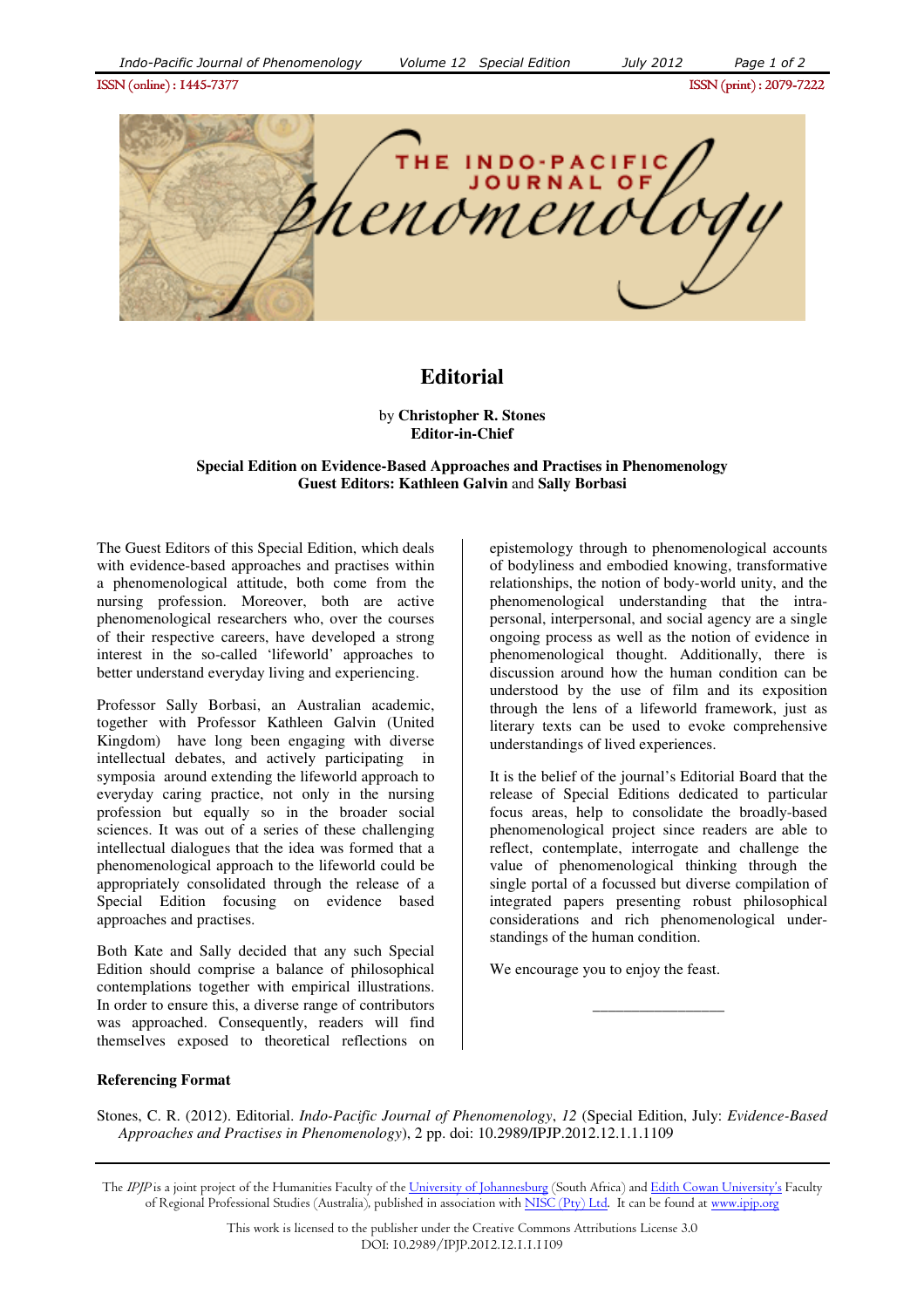

## **Editorial**

by **Christopher R. Stones Editor-in-Chief**

## **Special Edition on Evidence-Based Approaches and Practises in Phenomenology Guest Editors: Kathleen Galvin** and **Sally Borbasi**

The Guest Editors of this Special Edition, which deals with evidence-based approaches and practises within a phenomenological attitude, both come from the nursing profession. Moreover, both are active phenomenological researchers who, over the courses of their respective careers, have developed a strong interest in the so-called 'lifeworld' approaches to better understand everyday living and experiencing.

Professor Sally Borbasi, an Australian academic, together with Professor Kathleen Galvin (United Kingdom) have long been engaging with diverse intellectual debates, and actively participating in symposia around extending the lifeworld approach to everyday caring practice, not only in the nursing profession but equally so in the broader social sciences. It was out of a series of these challenging intellectual dialogues that the idea was formed that a phenomenological approach to the lifeworld could be appropriately consolidated through the release of a Special Edition focusing on evidence based approaches and practises.

Both Kate and Sally decided that any such Special Edition should comprise a balance of philosophical contemplations together with empirical illustrations. In order to ensure this, a diverse range of contributors was approached. Consequently, readers will find themselves exposed to theoretical reflections on epistemology through to phenomenological accounts of bodyliness and embodied knowing, transformative relationships, the notion of body-world unity, and the phenomenological understanding that the intrapersonal, interpersonal, and social agency are a single ongoing process as well as the notion of evidence in phenomenological thought. Additionally, there is discussion around how the human condition can be understood by the use of film and its exposition through the lens of a lifeworld framework, just as literary texts can be used to evoke comprehensive understandings of lived experiences.

It is the belief of the journal's Editorial Board that the release of Special Editions dedicated to particular focus areas, help to consolidate the broadly-based phenomenological project since readers are able to reflect, contemplate, interrogate and challenge the value of phenomenological thinking through the single portal of a focussed but diverse compilation of integrated papers presenting robust philosophical considerations and rich phenomenological understandings of the human condition.

\_\_\_\_\_\_\_\_\_\_\_\_\_\_\_\_\_

We encourage you to enjoy the feast.

## **Referencing Format**

Stones, C. R. (2012). Editorial. *Indo-Pacific Journal of Phenomenology*, *12* (Special Edition, July: *Evidence-Based Approaches and Practises in Phenomenology*), 2 pp. doi: 10.2989/IPJP.2012.12.1.1.1109

The IPJP is a joint project of the Humanities Faculty of the University of Johannesburg (South Africa) and Edith Cowan University's Faculty of Regional Professional Studies (Australia), published in association with NISC (Pty) Ltd. It can be found at www.ipip.org